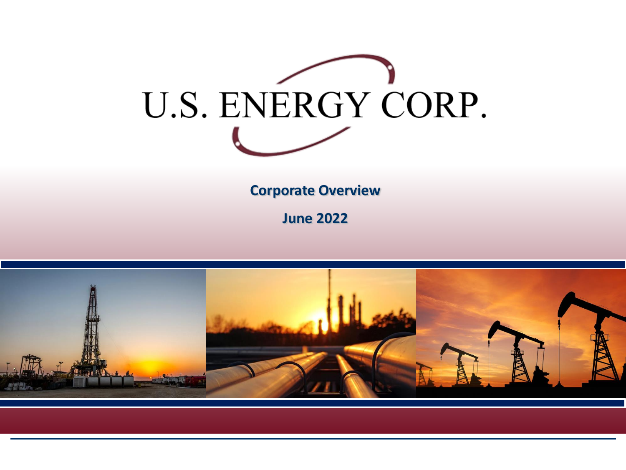

**Corporate Overview** 

**June 2022**

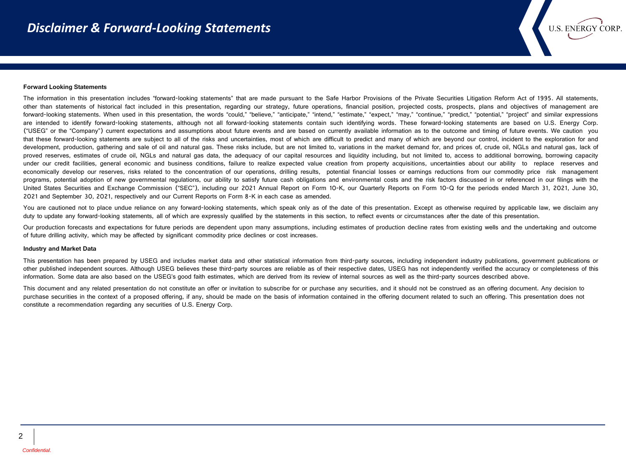#### **Forward Looking Statements**

The information in this presentation includes "forward-looking statements" that are made pursuant to the Safe Harbor Provisions of the Private Securities Litigation Reform Act of 1995. All statements, other than statements of historical fact included in this presentation, regarding our strategy, future operations, financial position, projected costs, prospects, plans and objectives of management are forward-looking statements. When used in this presentation, the words "could," "believe," "anticipate," "intend," "estimate," "expect," "may," "continue," "predict," "potential," "project" and similar expressions are intended to identify forward-looking statements, although not all forward-looking statements contain such identifying words. These forward-looking statements are based on U.S. Energy Corp. ("USEG" or the "Company") current expectations and assumptions about future events and are based on currently available information as to the outcome and timing of future events. We caution you that these forward-looking statements are subject to all of the risks and uncertainties, most of which are difficult to predict and many of which are beyond our control, incident to the exploration for and development, production, gathering and sale of oil and natural gas. These risks include, but are not limited to, variations in the market demand for, and prices of, crude oil, NGLs and natural gas, lack of proved reserves, estimates of crude oil, NGLs and natural gas data, the adequacy of our capital resources and liquidity including, but not limited to, access to additional borrowing, borrowing capacity under our credit facilities, general economic and business conditions, failure to realize expected value creation from property acquisitions, uncertainties about our ability to replace reserves and economically develop our reserves, risks related to the concentration of our operations, drilling results, potential financial losses or earnings reductions from our commodity price risk management programs, potential adoption of new governmental regulations, our ability to satisfy future cash obligations and environmental costs and the risk factors discussed in or referenced in our filings with the United States Securities and Exchange Commission ("SEC"), including our 2021 Annual Report on Form 10-K, our Quarterly Reports on Form 10-Q for the periods ended March 31, 2021, June 30, 2021 and September 30, 2021, respectively and our Current Reports on Form 8-K in each case as amended.

**U.S. ENERGY CORP** 

You are cautioned not to place undue reliance on any forward-looking statements, which speak only as of the date of this presentation. Except as otherwise required by applicable law, we disclaim any duty to update any forward-looking statements, all of which are expressly qualified by the statements in this section, to reflect events or circumstances after the date of this presentation.

Our production forecasts and expectations for future periods are dependent upon many assumptions, including estimates of production decline rates from existing wells and the undertaking and outcome of future drilling activity, which may be affected by significant commodity price declines or cost increases.

#### **Industry and Market Data**

This presentation has been prepared by USEG and includes market data and other statistical information from third-party sources, including independent industry publications, government publications or other published independent sources. Although USEG believes these third-party sources are reliable as of their respective dates, USEG has not independently verified the accuracy or completeness of this information. Some data are also based on the USEG's good faith estimates, which are derived from its review of internal sources as well as the third-party sources described above.

This document and any related presentation do not constitute an offer or invitation to subscribe for or purchase any securities, and it should not be construed as an offering document. Any decision to purchase securities in the context of a proposed offering, if any, should be made on the basis of information contained in the offering document related to such an offering. This presentation does not constitute a recommendation regarding any securities of U.S. Energy Corp.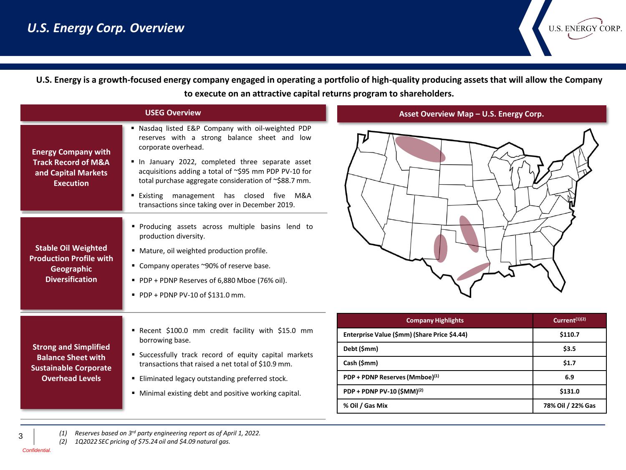

**U.S. Energy is a growth-focused energy company engaged in operating a portfolio of high-quality producing assets that will allow the Company to execute on an attractive capital returns program to shareholders.** 

| <b>USEG Overview</b>                                                                                                |                                                                                                                                                                                                                                                                                                                                                                                                               |  |  |  |  |  |
|---------------------------------------------------------------------------------------------------------------------|---------------------------------------------------------------------------------------------------------------------------------------------------------------------------------------------------------------------------------------------------------------------------------------------------------------------------------------------------------------------------------------------------------------|--|--|--|--|--|
| <b>Energy Company with</b><br><b>Track Record of M&amp;A</b><br>and Capital Markets<br><b>Execution</b>             | Nasdag listed E&P Company with oil-weighted PDP<br>٠<br>reserves with a strong balance sheet and low<br>corporate overhead.<br>In January 2022, completed three separate asset<br>acquisitions adding a total of ~\$95 mm PDP PV-10 for<br>total purchase aggregate consideration of ~\$88.7 mm.<br>has closed<br>five<br>M&A<br>• Existing<br>management<br>transactions since taking over in December 2019. |  |  |  |  |  |
| <b>Stable Oil Weighted</b><br><b>Production Profile with</b><br><b>Geographic</b><br><b>Diversification</b>         | " Producing assets across multiple basins lend to<br>production diversity.<br>Mature, oil weighted production profile.<br>٠<br>Company operates ~90% of reserve base.<br>٠<br>PDP + PDNP Reserves of 6,880 Mboe (76% oil).<br>$\blacksquare$ PDP + PDNP PV-10 of \$131.0 mm.                                                                                                                                  |  |  |  |  |  |
| <b>Strong and Simplified</b><br><b>Balance Sheet with</b><br><b>Sustainable Corporate</b><br><b>Overhead Levels</b> | ■ Recent \$100.0 mm credit facility with \$15.0 mm<br>borrowing base.<br>" Successfully track record of equity capital markets<br>transactions that raised a net total of \$10.9 mm.<br>Eliminated legacy outstanding preferred stock.<br>٠<br>Minimal existing debt and positive working capital.<br>٠                                                                                                       |  |  |  |  |  |



**Asset Overview Map – U.S. Energy Corp.** 

| <b>Company Highlights</b>                    | Current <sup>(1)(2)</sup> |  |
|----------------------------------------------|---------------------------|--|
| Enterprise Value (\$mm) (Share Price \$4.44) | \$110.7                   |  |
| Debt (\$mm)                                  | \$3.5                     |  |
| Cash (\$mm)                                  | \$1.7                     |  |
| PDP + PDNP Reserves (Mmboe)(1)               | 6.9                       |  |
| PDP + PDNP PV-10 (\$MM) <sup>(2)</sup>       | \$131.0                   |  |
| % Oil / Gas Mix                              | 78% Oil / 22% Gas         |  |

*(1) Reserves based on 3rd party engineering report as of April 1, 2022.*

*(2) 1Q2022 SEC pricing of \$75.24 oil and \$4.09 natural gas.*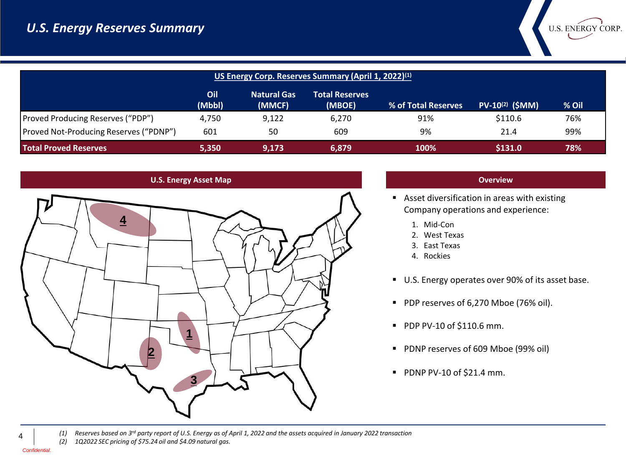| US Energy Corp. Reserves Summary (April 1, 2022) <sup>(1)</sup>            |               |                              |                                 |                     |                             |       |
|----------------------------------------------------------------------------|---------------|------------------------------|---------------------------------|---------------------|-----------------------------|-------|
|                                                                            | Oil<br>(Mbbl) | <b>Natural Gas</b><br>(MMCF) | <b>Total Reserves</b><br>(MBOE) | % of Total Reserves | PV-10 <sup>(2)</sup> (\$MM) | % Oil |
| <b>Proved Producing Reserves ("PDP")</b>                                   | 4.750         | 9.122                        | 6,270                           | 91%                 | \$110.6                     | 76%   |
| Proved Not-Producing Reserves ("PDNP")                                     | 601           | 50                           | 609                             | 9%                  | 21.4                        | 99%   |
| <b>Total Proved Reserves</b><br>\$131.0<br>100%<br>5,350<br>9.173<br>6,879 |               |                              |                                 |                     |                             | 78%   |





### **Overview**

U.S. ENERGY CORP.

- Asset diversification in areas with existing Company operations and experience:
	- 1. Mid-Con
	- 2. West Texas
	- 3. East Texas
	- 4. Rockies
- U.S. Energy operates over 90% of its asset base.
- PDP reserves of 6,270 Mboe (76% oil).
- PDP PV-10 of \$110.6 mm.
- PDNP reserves of 609 Mboe (99% oil)
- PDNP PV-10 of \$21.4 mm.

*(1) Reserves based on 3rd party report of U.S. Energy as of April 1, 2022 and the assets acquired in January 2022 transaction (2) 1Q2022 SEC pricing of \$75.24 oil and \$4.09 natural gas.*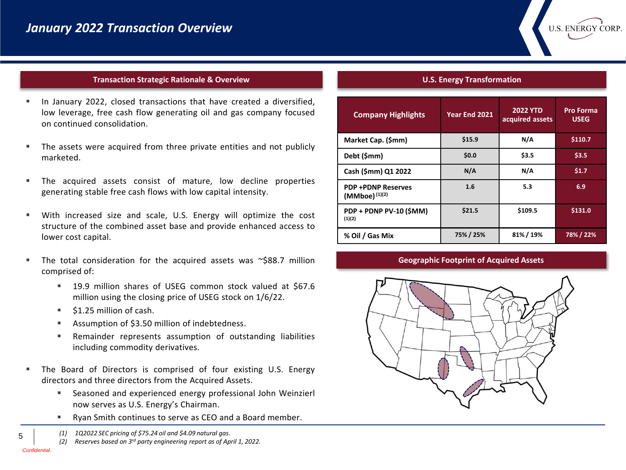### **Transaction Strategic Rationale & Overview**

- In January 2022, closed transactions that have created a diversified, low leverage, free cash flow generating oil and gas company focused on continued consolidation.
- The assets were acquired from three private entities and not publicly marketed.
- The acquired assets consist of mature, low decline properties generating stable free cash flows with low capital intensity.
- With increased size and scale, U.S. Energy will optimize the cost structure of the combined asset base and provide enhanced access to lower cost capital.
- The total consideration for the acquired assets was  $\sim$ \$88.7 million comprised of:
	- 19.9 million shares of USEG common stock valued at \$67.6 million using the closing price of USEG stock on 1/6/22.
	- \$1.25 million of cash.
	- Assumption of \$3.50 million of indebtedness.
	- Remainder represents assumption of outstanding liabilities including commodity derivatives.
- The Board of Directors is comprised of four existing U.S. Energy directors and three directors from the Acquired Assets.
	- Seasoned and experienced energy professional John Weinzierl now serves as U.S. Energy's Chairman.
	- Ryan Smith continues to serve as CEO and a Board member.
	- *(1) 1Q2022 SEC pricing of \$75.24 oil and \$4.09 natural gas.*
	- *(2) Reserves based on 3rd party engineering report as of April 1, 2022.*

**U.S. ENERGY CORP** 

| <b>Company Highlights</b>                      | Year End 2021 | <b>2022 YTD</b><br>acquired assets | <b>Pro Forma</b><br><b>USEG</b> |  |
|------------------------------------------------|---------------|------------------------------------|---------------------------------|--|
| Market Cap. (\$mm)                             | \$15.9        | N/A                                | \$110.7                         |  |
| Debt (\$mm)                                    | \$0.0         | \$3.5                              | \$3.5                           |  |
| Cash (\$mm) Q1 2022                            | N/A           | N/A                                | \$1.7                           |  |
| <b>PDP+PDNP Reserves</b><br>$(MMboe)^{(1)(2)}$ | 1.6           | 5.3                                | 6.9                             |  |
| PDP + PDNP PV-10 (\$MM)<br>(1)(2)              | \$21.5        | \$109.5                            | \$131.0                         |  |
| % Oil / Gas Mix                                | 75% / 25%     | 81% / 19%                          | 78% / 22%                       |  |

#### **Geographic Footprint of Acquired Assets**

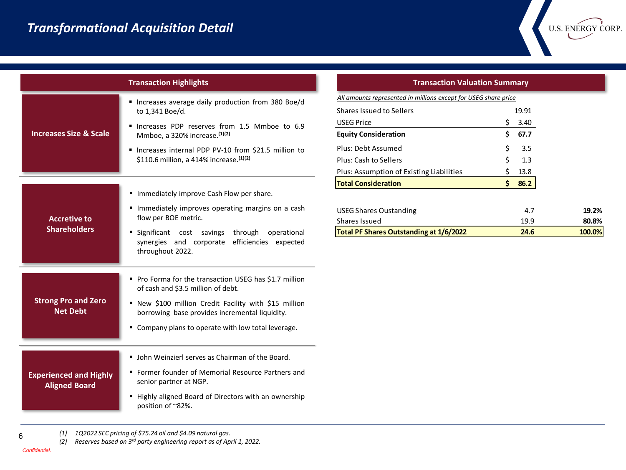| <b>Transaction Highlights</b>                         |                                                                                                                      |  |  |  |  |  |
|-------------------------------------------------------|----------------------------------------------------------------------------------------------------------------------|--|--|--|--|--|
|                                                       | " Increases average daily production from 380 Boe/d<br>to 1,341 Boe/d.                                               |  |  |  |  |  |
| <b>Increases Size &amp; Scale</b>                     | Increases PDP reserves from 1.5 Mmboe to 6.9<br>Mmboe, a 320% increase. (1)(2)                                       |  |  |  |  |  |
|                                                       | " Increases internal PDP PV-10 from \$21.5 million to<br>\$110.6 million, a 414% increase. (1)(2)                    |  |  |  |  |  |
|                                                       | " Immediately improve Cash Flow per share.                                                                           |  |  |  |  |  |
| <b>Accretive to</b><br><b>Shareholders</b>            | " Immediately improves operating margins on a cash<br>flow per BOE metric.                                           |  |  |  |  |  |
|                                                       | Significant cost<br>savings through operational<br>synergies and corporate efficiencies expected<br>throughout 2022. |  |  |  |  |  |
|                                                       | Pro Forma for the transaction USEG has \$1.7 million<br>of cash and \$3.5 million of debt.                           |  |  |  |  |  |
| <b>Strong Pro and Zero</b><br><b>Net Debt</b>         | ■ New \$100 million Credit Facility with \$15 million<br>borrowing base provides incremental liquidity.              |  |  |  |  |  |
|                                                       | • Company plans to operate with low total leverage.                                                                  |  |  |  |  |  |
|                                                       | • John Weinzierl serves as Chairman of the Board.                                                                    |  |  |  |  |  |
| <b>Experienced and Highly</b><br><b>Aligned Board</b> | ■ Former founder of Memorial Resource Partners and<br>senior partner at NGP.                                         |  |  |  |  |  |
|                                                       | Highly aligned Board of Directors with an ownership<br>position of ~82%.                                             |  |  |  |  |  |

#### **Transaction Highlights Transaction Valuation Summary**

U.S. ENERGY CORP.

|                                                                 |   | 86.2  |  |  |
|-----------------------------------------------------------------|---|-------|--|--|
| <b>Total Consideration</b><br>S                                 |   |       |  |  |
| Plus: Assumption of Existing Liabilities                        | Ś | 13.8  |  |  |
| Plus: Cash to Sellers                                           | Ś | 1.3   |  |  |
| Plus: Debt Assumed                                              | Ś | 3.5   |  |  |
| <b>Equity Consideration</b>                                     | S | 67.7  |  |  |
| <b>USEG Price</b>                                               | Ś | 3.40  |  |  |
| <b>Shares Issued to Sellers</b>                                 |   | 19.91 |  |  |
| All amounts represented in millions except for USEG share price |   |       |  |  |

| Total PF Shares Outstanding at 1/6/2022 | 24.6 | 100.0% |
|-----------------------------------------|------|--------|
| Shares Issued                           | 19.9 | 80.8%  |
| USEG Shares Oustanding                  | 4.7  | 19.2%  |

*(1) 1Q2022 SEC pricing of \$75.24 oil and \$4.09 natural gas.*

*(2) Reserves based on 3rd party engineering report as of April 1, 2022.*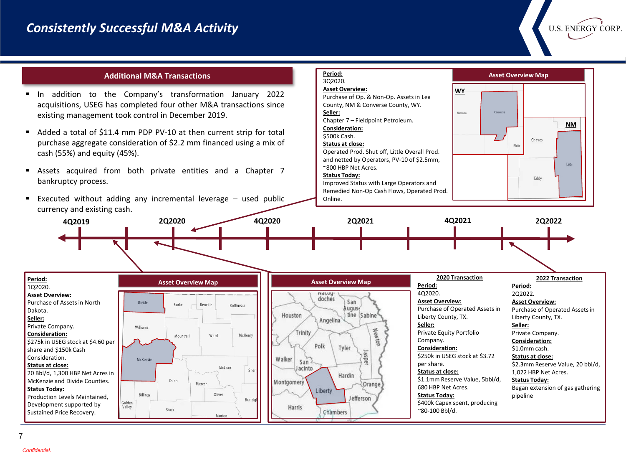**U.S. ENERGY CORP** 

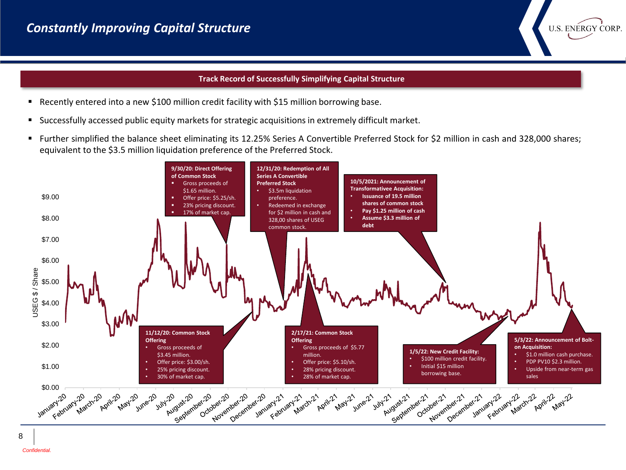## **Track Record of Successfully Simplifying Capital Structure**

**U.S. ENERGY CORP** 

- Recently entered into a new \$100 million credit facility with \$15 million borrowing base.
- Successfully accessed public equity markets for strategic acquisitions in extremely difficult market.
- Further simplified the balance sheet eliminating its 12.25% Series A Convertible Preferred Stock for \$2 million in cash and 328,000 shares; equivalent to the \$3.5 million liquidation preference of the Preferred Stock.

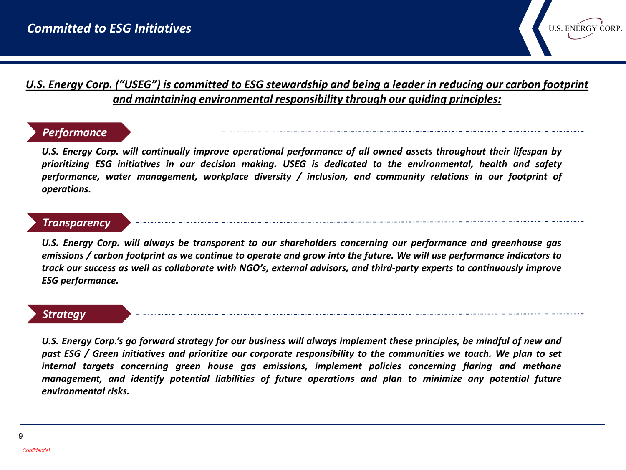

# *U.S. Energy Corp. ("USEG") is committed to ESG stewardship and being a leader in reducing our carbon footprint and maintaining environmental responsibility through our guiding principles:*

# *Performance*

U.S. Energy Corp. will continually improve operational performance of all owned assets throughout their lifespan by *prioritizing ESG initiatives in our decision making. USEG is dedicated to the environmental, health and safety performance, water management, workplace diversity / inclusion, and community relations in our footprint of operations.*

# *Transparency*

*U.S. Energy Corp. will always be transparent to our shareholders concerning our performance and greenhouse gas* emissions / carbon footprint as we continue to operate and grow into the future. We will use performance indicators to track our success as well as collaborate with NGO's, external advisors, and third-party experts to continuously improve *ESG performance.*

## *Strategy*

U.S. Energy Corp.'s go forward strategy for our business will always implement these principles, be mindful of new and past ESG / Green initiatives and prioritize our corporate responsibility to the communities we touch. We plan to set *internal targets concerning green house gas emissions, implement policies concerning flaring and methane management, and identify potential liabilities of future operations and plan to minimize any potential future environmental risks.*